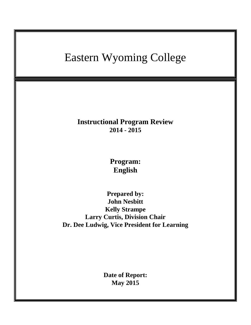# Eastern Wyoming College **Instructional Program Review 2014 - 2015 Program: English Prepared by: John Nesbitt Kelly Strampe Larry Curtis, Division Chair Dr. Dee Ludwig, Vice President for Learning Date of Report: May 2015**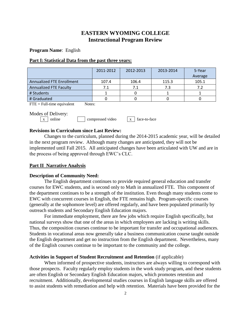# **EASTERN WYOMING COLLEGE Instructional Program Review**

**Program Name**: English

# **Part I: Statistical Data from the past three years:**

|                               | 2011-2012 | 2012-2013 | 2013-2014 | 5-Year<br>Average |
|-------------------------------|-----------|-----------|-----------|-------------------|
| Annualized FTE Enrollment     | 107.4     | 106.4     | 115.3     | 105.1             |
| <b>Annualized FTE Faculty</b> | 7.1       |           | 7.3       | 7.2               |
| # Students                    |           |           |           |                   |
| # Graduated                   |           |           |           |                   |

 $\text{FTE} = \text{Full-time equivalent}$  Notes:

Modes of Delivery:

|  | l online | compressed video | x   face-to-face |
|--|----------|------------------|------------------|
|  |          |                  |                  |

# **Revisions in Curriculum since Last Review:**

Changes to the curriculum, planned during the 2014-2015 academic year, will be detailed in the next program review. Although many changes are anticipated, they will not be implemented until Fall 2015. All anticipated changes have been articulated with UW and are in the process of being approved through EWC's CLC.

#### **Part II Narrative Analysis**

#### **Description of Community Need:**

The English department continues to provide required general education and transfer courses for EWC students, and is second only to Math in annualized FTE. This component of the department continues to be a strength of the institution. Even though many students come to EWC with concurrent courses in English, the FTE remains high. Program-specific courses (generally at the sophomore level) are offered regularly, and have been populated primarily by outreach students and Secondary English Education majors.

For immediate employment, there are few jobs which require English specifically, but national surveys show that one of the areas in which employees are lacking is writing skills. Thus, the composition courses continue to be important for transfer and occupational audiences. Students in vocational areas now generally take a business communication course taught outside the English department and get no instruction from the English department. Nevertheless, many of the English courses continue to be important to the community and the college.

# **Activities in Support of Student Recruitment and Retention** (if applicable)

When informed of prospective students, instructors are always willing to correspond with those prospects. Faculty regularly employ students in the work study program, and these students are often English or Secondary English Education majors, which promotes retention and recruitment. Additionally, developmental studies courses in English language skills are offered to assist students with remediation and help with retention. Materials have been provided for the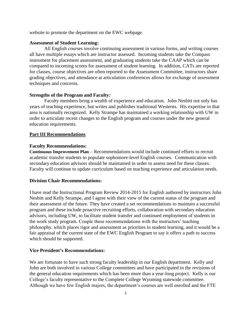website to promote the department on the EWC webpage.

#### **Assessment of Student Learning:**

All English courses involve continuing assessment in various forms, and writing courses all have multiple essays which are instructor assessed. Incoming students take the Compass instrument for placement assessment, and graduating students take the CAAP which can be compared to incoming scores for assessment of student learning. In addition, CATs are reported for classes, course objectives are often reported to the Assessment Committee, instructors share grading objectives, and attendance at articulation conferences allows for exchange of assessment techniques and concerns.

# **Strengths of the Program and Faculty:**

Faculty members bring a wealth of experience and education. John Nesbitt not only has years of teaching experience, but writes and publishes traditional Westerns. His expertise in that area is nationally recognized. Kelly Strampe has maintained a working relationship with UW in order to articulate recent changes to the English program and courses under the new general education requirements.

#### **Part III Recommendations**

#### **Faculty Recommendations:**

**Continuous Improvement Plan** – Recommendations would include continued efforts to recruit academic transfer students to populate sophomore-level English courses. Communication with secondary education advisors should be maintained in order to assess need for these classes. Faculty will continue to update curriculum based on teaching experience and articulation needs.

#### **Division Chair Recommendations:**

I have read the Instructional Program Review 2014-2015 for English authored by instructors John Nesbitt and Kelly Strampe, and I agree with their view of the current status of the program and their assessment of the future. They have created a set recommendations to maintain a successful program and these include proactive recruiting efforts, collaboration with secondary education advisors, including UW, to facilitate student transfer and continued employment of students in the work study program. Couple these recommendations with the instructors' teaching philosophy, which places rigor and assessment as priorities in student learning, and it would be a fair appraisal of the current state of the EWC English Program to say it offers a path to success which should be supported.

#### **Vice President's Recommendations:**

We are fortunate to have such strong faculty leadership in our English department. Kelly and John are both involved in various College committees and have participated in the revisions of the general education requirements which has been more than a year-long project. Kelly is our College's faculty representative to the Complete College Wyoming statewide committee. Although we have few English majors, the department's courses are well enrolled and the FTE